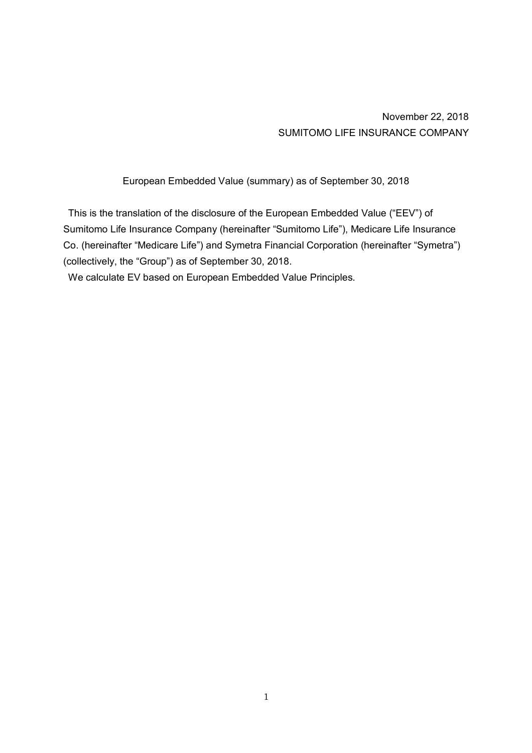November 22, 2018 SUMITOMO LIFE INSURANCE COMPANY

European Embedded Value (summary) as of September 30, 2018

This is the translation of the disclosure of the European Embedded Value ("EEV") of Sumitomo Life Insurance Company (hereinafter "Sumitomo Life"), Medicare Life Insurance Co. (hereinafter "Medicare Life") and Symetra Financial Corporation (hereinafter "Symetra") (collectively, the "Group") as of September 30, 2018.

We calculate EV based on European Embedded Value Principles.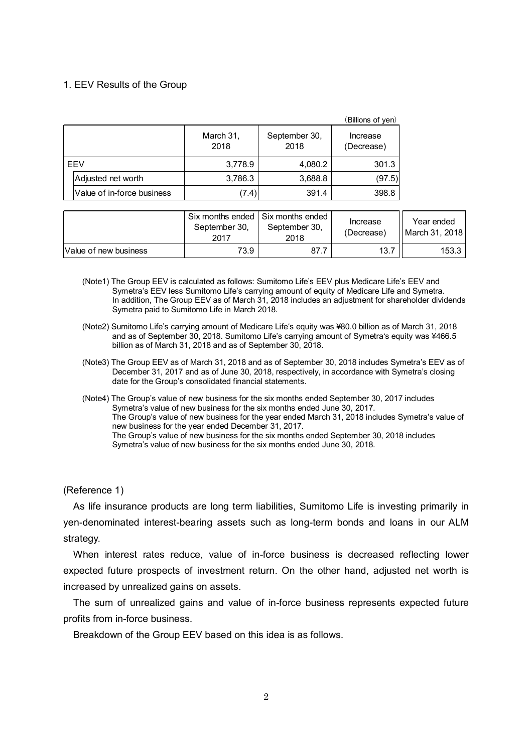### 1. EEV Results of the Group

|     |                            |                   |                       | (Billions of yen)      |
|-----|----------------------------|-------------------|-----------------------|------------------------|
|     |                            | March 31,<br>2018 | September 30,<br>2018 | Increase<br>(Decrease) |
| EEV |                            | 3,778.9           | 4,080.2               | 301.3                  |
|     | Adjusted net worth         | 3,786.3           | 3,688.8               | (97.5)                 |
|     | Value of in-force business | (7.4)             | 391.4                 | 398.8                  |

|                       | September 30,<br>2017 | Six months ended Six months ended<br>September 30,<br>2018 | Increase<br>(Decrease) | Year ended<br>  March 31, 2018 |
|-----------------------|-----------------------|------------------------------------------------------------|------------------------|--------------------------------|
| Value of new business | 73.9                  | 87.7                                                       | 13.7                   | 153.3 l                        |

- (Note1) The Group EEV is calculated as follows: Sumitomo Life's EEV plus Medicare Life's EEV and Symetra's EEV less Sumitomo Life's carrying amount of equity of Medicare Life and Symetra. In addition, The Group EEV as of March 31, 2018 includes an adjustment for shareholder dividends Symetra paid to Sumitomo Life in March 2018.
- (Note2) Sumitomo Life's carrying amount of Medicare Life's equity was ¥80.0 billion as of March 31, 2018 and as of September 30, 2018. Sumitomo Life's carrying amount of Symetra's equity was ¥466.5 billion as of March 31, 2018 and as of September 30, 2018.
- (Note3) The Group EEV as of March 31, 2018 and as of September 30, 2018 includes Symetra's EEV as of December 31, 2017 and as of June 30, 2018, respectively, in accordance with Symetra's closing date for the Group's consolidated financial statements.
- (Note4) The Group's value of new business for the six months ended September 30, 2017 includes Symetra's value of new business for the six months ended June 30, 2017. The Group's value of new business for the year ended March 31, 2018 includes Symetra's value of new business for the year ended December 31, 2017. The Group's value of new business for the six months ended September 30, 2018 includes Symetra's value of new business for the six months ended June 30, 2018.

(Reference 1)

As life insurance products are long term liabilities, Sumitomo Life is investing primarily in yen-denominated interest-bearing assets such as long-term bonds and loans in our ALM strategy.

When interest rates reduce, value of in-force business is decreased reflecting lower expected future prospects of investment return. On the other hand, adjusted net worth is increased by unrealized gains on assets.

The sum of unrealized gains and value of in-force business represents expected future profits from in-force business.

Breakdown of the Group EEV based on this idea is as follows.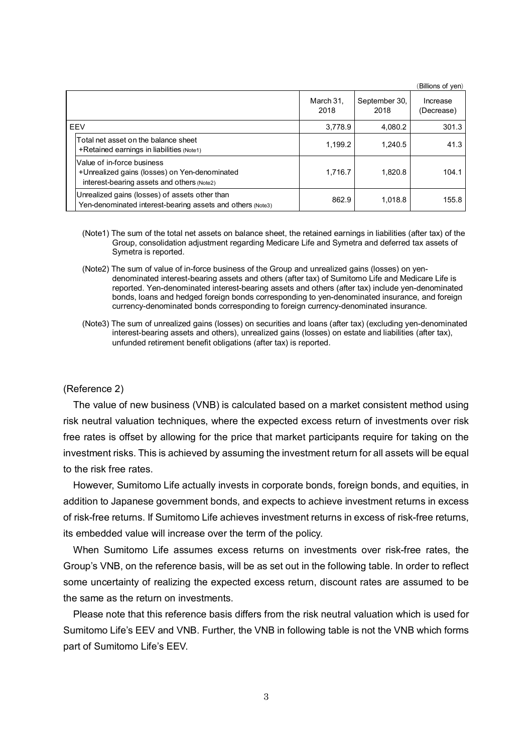|                                                                                                                           |                   |                       | (Billions of yen)      |
|---------------------------------------------------------------------------------------------------------------------------|-------------------|-----------------------|------------------------|
|                                                                                                                           | March 31,<br>2018 | September 30,<br>2018 | Increase<br>(Decrease) |
| EEV                                                                                                                       | 3.778.9           | 4.080.2               | 301.3                  |
| Total net asset on the balance sheet<br>+Retained earnings in liabilities $(Note1)$                                       | 1.199.2           | 1.240.5               | 41.3                   |
| Value of in-force business<br>+Unrealized gains (losses) on Yen-denominated<br>interest-bearing assets and others (Note2) | 1,716.7           | 1.820.8               | 104.1                  |
| Unrealized gains (losses) of assets other than<br>Yen-denominated interest-bearing assets and others (Note3)              | 862.9             | 1.018.8               | 155.8                  |

- (Note1) The sum of the total net assets on balance sheet, the retained earnings in liabilities (after tax) of the Group, consolidation adjustment regarding Medicare Life and Symetra and deferred tax assets of Symetra is reported.
- (Note2) The sum of value of in-force business of the Group and unrealized gains (losses) on yendenominated interest-bearing assets and others (after tax) of Sumitomo Life and Medicare Life is reported. Yen-denominated interest-bearing assets and others (after tax) include yen-denominated bonds, loans and hedged foreign bonds corresponding to yen-denominated insurance, and foreign currency-denominated bonds corresponding to foreign currency-denominated insurance.
- (Note3) The sum of unrealized gains (losses) on securities and loans (after tax) (excluding yen-denominated interest-bearing assets and others), unrealized gains (losses) on estate and liabilities (after tax), unfunded retirement benefit obligations (after tax) is reported.

#### (Reference 2)

The value of new business (VNB) is calculated based on a market consistent method using risk neutral valuation techniques, where the expected excess return of investments over risk free rates is offset by allowing for the price that market participants require for taking on the investment risks. This is achieved by assuming the investment return for all assets will be equal to the risk free rates.

However, Sumitomo Life actually invests in corporate bonds, foreign bonds, and equities, in addition to Japanese government bonds, and expects to achieve investment returns in excess of risk-free returns. If Sumitomo Life achieves investment returns in excess of risk-free returns, its embedded value will increase over the term of the policy.

When Sumitomo Life assumes excess returns on investments over risk-free rates, the Group's VNB, on the reference basis, will be as set out in the following table. In order to reflect some uncertainty of realizing the expected excess return, discount rates are assumed to be the same as the return on investments.

Please note that this reference basis differs from the risk neutral valuation which is used for Sumitomo Life's EEV and VNB. Further, the VNB in following table is not the VNB which forms part of Sumitomo Life's EEV.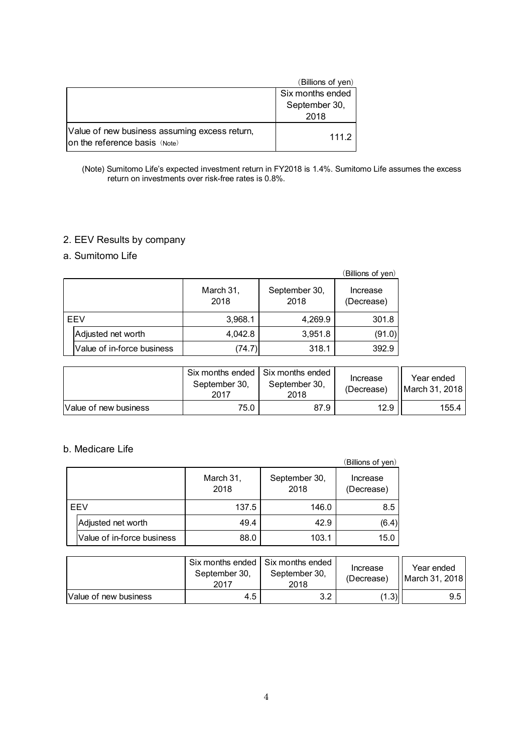|                                                                                | (Billions of yen) |
|--------------------------------------------------------------------------------|-------------------|
|                                                                                | Six months ended  |
|                                                                                | September 30,     |
|                                                                                | 2018              |
| Value of new business assuming excess return,<br>on the reference basis (Note) | 111.2             |

#### (Note) Sumitomo Life's expected investment return in FY2018 is 1.4%. Sumitomo Life assumes the excess return on investments over risk-free rates is 0.8%.

# 2. EEV Results by company

# a. Sumitomo Life

|            |                            |                   |                       | (Billions of yen)      |
|------------|----------------------------|-------------------|-----------------------|------------------------|
|            |                            | March 31,<br>2018 | September 30,<br>2018 | Increase<br>(Decrease) |
| <b>FFV</b> |                            | 3,968.1           | 4,269.9               | 301.8                  |
|            | Adjusted net worth         | 4,042.8           | 3,951.8               | (91.0)                 |
|            | Value of in-force business | (74.7)            | 318.1                 | 392.9                  |

|                       | September 30,<br>2017 | Six months ended I Six months ended<br>September 30.<br>2018 | Increase<br>(Decrease) | Year ended<br>March 31, 2018 |
|-----------------------|-----------------------|--------------------------------------------------------------|------------------------|------------------------------|
| Value of new business | 75.0                  | 87.9                                                         | 12.9                   | 155.4                        |

# b. Medicare Life

|     |                            |                   |                       | (Billions of yen)      |
|-----|----------------------------|-------------------|-----------------------|------------------------|
|     |                            | March 31,<br>2018 | September 30,<br>2018 | Increase<br>(Decrease) |
| EEV |                            | 137.5             | 146.0                 | 8.5                    |
|     | Adjusted net worth         | 49.4              | 42.9                  | (6.4)                  |
|     | Value of in-force business | 88.0              | 103.1                 | 15.0                   |

|                       | September 30,<br>2017 | Six months ended   Six months ended<br>September 30,<br>2018 | Increase<br>(Decrease) | Year ended<br><b>IMarch 31, 2018</b> |
|-----------------------|-----------------------|--------------------------------------------------------------|------------------------|--------------------------------------|
| Value of new business | 4.5                   | っっ<br>J.Z                                                    | (1.3)                  | 9.5                                  |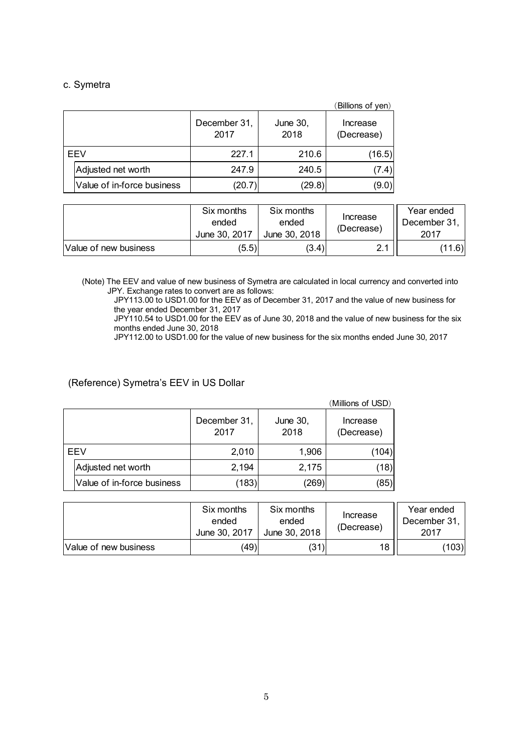### c. Symetra

|            |                            |                      |                  | (Billions of yen)      |
|------------|----------------------------|----------------------|------------------|------------------------|
|            |                            | December 31,<br>2017 | June 30,<br>2018 | Increase<br>(Decrease) |
| <b>FFV</b> |                            | 227.1                | 210.6            | (16.5)                 |
|            | Adjusted net worth         | 247.9                | 240.5            | (7.4)                  |
|            | Value of in-force business | (20.7)               | (29.8)           | (9.0)                  |

|                       | Six months<br>ended<br>June 30, 2017 | Six months<br>ended<br>June 30, 2018 | Increase<br>(Decrease) | Year ended<br>December 31.<br>2017 |
|-----------------------|--------------------------------------|--------------------------------------|------------------------|------------------------------------|
| Value of new business | (5.5)                                | (3.4)                                | ິ                      | (1.6)                              |

(Note) The EEV and value of new business of Symetra are calculated in local currency and converted into JPY. Exchange rates to convert are as follows:

JPY113.00 to USD1.00 for the EEV as of December 31, 2017 and the value of new business for the year ended December 31, 2017

JPY110.54 to USD1.00 for the EEV as of June 30, 2018 and the value of new business for the six months ended June 30, 2018

JPY112.00 to USD1.00 for the value of new business for the six months ended June 30, 2017

## (Reference) Symetra's EEV in US Dollar

|     |                            |                      |                  | (Millions of USD)      |
|-----|----------------------------|----------------------|------------------|------------------------|
|     |                            | December 31,<br>2017 | June 30,<br>2018 | Increase<br>(Decrease) |
| EEV |                            | 2,010                | 1,906            | (104)                  |
|     | Adjusted net worth         | 2,194                | 2,175            | (18)                   |
|     | Value of in-force business | (183)                | $^{\prime}269$   | (85)                   |

|                       | Six months<br>ended<br>June 30, 2017 | Six months<br>ended<br>June 30, 2018 | Increase<br>(Decrease) | Year ended<br>December 31.<br>2017 |
|-----------------------|--------------------------------------|--------------------------------------|------------------------|------------------------------------|
| Value of new business | (49)                                 | (31)                                 | 18                     | (103)                              |